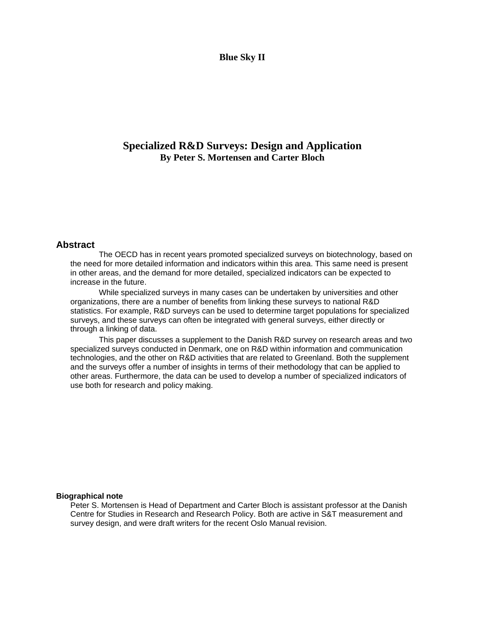### **Blue Sky II**

## **Specialized R&D Surveys: Design and Application By Peter S. Mortensen and Carter Bloch**

### **Abstract**

The OECD has in recent years promoted specialized surveys on biotechnology, based on the need for more detailed information and indicators within this area. This same need is present in other areas, and the demand for more detailed, specialized indicators can be expected to increase in the future.

While specialized surveys in many cases can be undertaken by universities and other organizations, there are a number of benefits from linking these surveys to national R&D statistics. For example, R&D surveys can be used to determine target populations for specialized surveys, and these surveys can often be integrated with general surveys, either directly or through a linking of data.

This paper discusses a supplement to the Danish R&D survey on research areas and two specialized surveys conducted in Denmark, one on R&D within information and communication technologies, and the other on R&D activities that are related to Greenland. Both the supplement and the surveys offer a number of insights in terms of their methodology that can be applied to other areas. Furthermore, the data can be used to develop a number of specialized indicators of use both for research and policy making.

#### **Biographical note**

Peter S. Mortensen is Head of Department and Carter Bloch is assistant professor at the Danish Centre for Studies in Research and Research Policy. Both are active in S&T measurement and survey design, and were draft writers for the recent Oslo Manual revision.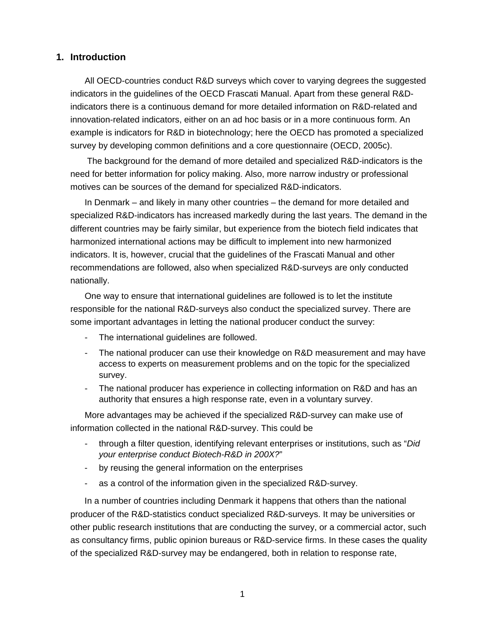## **1. Introduction**

All OECD-countries conduct R&D surveys which cover to varying degrees the suggested indicators in the guidelines of the OECD Frascati Manual. Apart from these general R&Dindicators there is a continuous demand for more detailed information on R&D-related and innovation-related indicators, either on an ad hoc basis or in a more continuous form. An example is indicators for R&D in biotechnology; here the OECD has promoted a specialized survey by developing common definitions and a core questionnaire (OECD, 2005c).

 The background for the demand of more detailed and specialized R&D-indicators is the need for better information for policy making. Also, more narrow industry or professional motives can be sources of the demand for specialized R&D-indicators.

In Denmark – and likely in many other countries – the demand for more detailed and specialized R&D-indicators has increased markedly during the last years. The demand in the different countries may be fairly similar, but experience from the biotech field indicates that harmonized international actions may be difficult to implement into new harmonized indicators. It is, however, crucial that the guidelines of the Frascati Manual and other recommendations are followed, also when specialized R&D-surveys are only conducted nationally.

One way to ensure that international guidelines are followed is to let the institute responsible for the national R&D-surveys also conduct the specialized survey. There are some important advantages in letting the national producer conduct the survey:

- The international guidelines are followed.
- The national producer can use their knowledge on R&D measurement and may have access to experts on measurement problems and on the topic for the specialized survey.
- The national producer has experience in collecting information on R&D and has an authority that ensures a high response rate, even in a voluntary survey.

More advantages may be achieved if the specialized R&D-survey can make use of information collected in the national R&D-survey. This could be

- through a filter question, identifying relevant enterprises or institutions, such as "*Did your enterprise conduct Biotech-R&D in 200X?*"
- by reusing the general information on the enterprises
- as a control of the information given in the specialized R&D-survey.

In a number of countries including Denmark it happens that others than the national producer of the R&D-statistics conduct specialized R&D-surveys. It may be universities or other public research institutions that are conducting the survey, or a commercial actor, such as consultancy firms, public opinion bureaus or R&D-service firms. In these cases the quality of the specialized R&D-survey may be endangered, both in relation to response rate,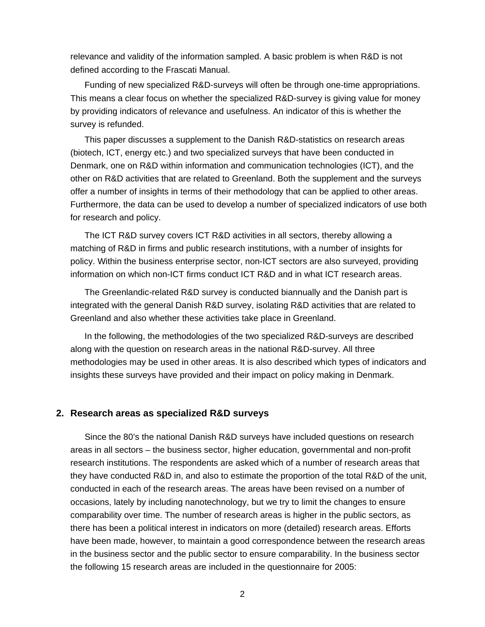relevance and validity of the information sampled. A basic problem is when R&D is not defined according to the Frascati Manual.

Funding of new specialized R&D-surveys will often be through one-time appropriations. This means a clear focus on whether the specialized R&D-survey is giving value for money by providing indicators of relevance and usefulness. An indicator of this is whether the survey is refunded.

This paper discusses a supplement to the Danish R&D-statistics on research areas (biotech, ICT, energy etc.) and two specialized surveys that have been conducted in Denmark, one on R&D within information and communication technologies (ICT), and the other on R&D activities that are related to Greenland. Both the supplement and the surveys offer a number of insights in terms of their methodology that can be applied to other areas. Furthermore, the data can be used to develop a number of specialized indicators of use both for research and policy.

The ICT R&D survey covers ICT R&D activities in all sectors, thereby allowing a matching of R&D in firms and public research institutions, with a number of insights for policy. Within the business enterprise sector, non-ICT sectors are also surveyed, providing information on which non-ICT firms conduct ICT R&D and in what ICT research areas.

The Greenlandic-related R&D survey is conducted biannually and the Danish part is integrated with the general Danish R&D survey, isolating R&D activities that are related to Greenland and also whether these activities take place in Greenland.

In the following, the methodologies of the two specialized R&D-surveys are described along with the question on research areas in the national R&D-survey. All three methodologies may be used in other areas. It is also described which types of indicators and insights these surveys have provided and their impact on policy making in Denmark.

### **2. Research areas as specialized R&D surveys**

Since the 80's the national Danish R&D surveys have included questions on research areas in all sectors – the business sector, higher education, governmental and non-profit research institutions. The respondents are asked which of a number of research areas that they have conducted R&D in, and also to estimate the proportion of the total R&D of the unit, conducted in each of the research areas. The areas have been revised on a number of occasions, lately by including nanotechnology, but we try to limit the changes to ensure comparability over time. The number of research areas is higher in the public sectors, as there has been a political interest in indicators on more (detailed) research areas. Efforts have been made, however, to maintain a good correspondence between the research areas in the business sector and the public sector to ensure comparability. In the business sector the following 15 research areas are included in the questionnaire for 2005: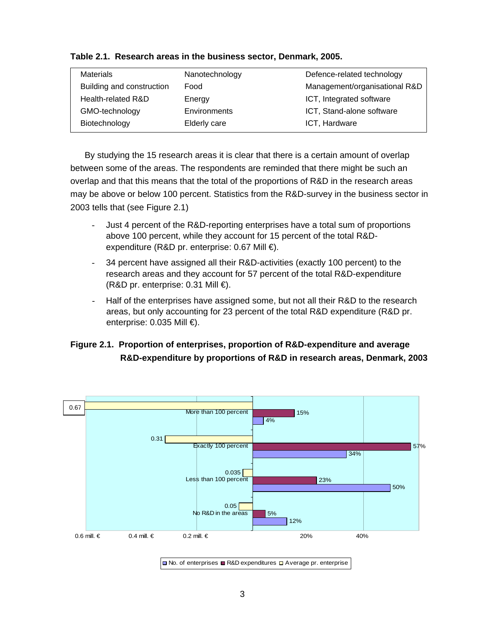| Materials                 | Nanotechnology | Defence-related technology    |  |  |
|---------------------------|----------------|-------------------------------|--|--|
| Building and construction | Food           | Management/organisational R&D |  |  |
| Health-related R&D        | Energy         | ICT, Integrated software      |  |  |
| GMO-technology            | Environments   | ICT, Stand-alone software     |  |  |
| Biotechnology             | Elderly care   | ICT, Hardware                 |  |  |

|  |  |  |  |  |  | Table 2.1. Research areas in the business sector, Denmark, 2005. |  |
|--|--|--|--|--|--|------------------------------------------------------------------|--|
|--|--|--|--|--|--|------------------------------------------------------------------|--|

By studying the 15 research areas it is clear that there is a certain amount of overlap between some of the areas. The respondents are reminded that there might be such an overlap and that this means that the total of the proportions of R&D in the research areas may be above or below 100 percent. Statistics from the R&D-survey in the business sector in 2003 tells that (see Figure 2.1)

- Just 4 percent of the R&D-reporting enterprises have a total sum of proportions above 100 percent, while they account for 15 percent of the total R&Dexpenditure (R&D pr. enterprise: 0.67 Mill €).
- 34 percent have assigned all their R&D-activities (exactly 100 percent) to the research areas and they account for 57 percent of the total R&D-expenditure  $(R&D\text{ pr.}$  enterprise: 0.31 Mill  $\bigoplus$ .
- Half of the enterprises have assigned some, but not all their R&D to the research areas, but only accounting for 23 percent of the total R&D expenditure (R&D pr. enterprise: 0.035 Mill €).

# **Figure 2.1. Proportion of enterprises, proportion of R&D-expenditure and average R&D-expenditure by proportions of R&D in research areas, Denmark, 2003**



 $\Box$  No. of enterprises  $\Box$  R&D expenditures  $\Box$  Average pr. enterprise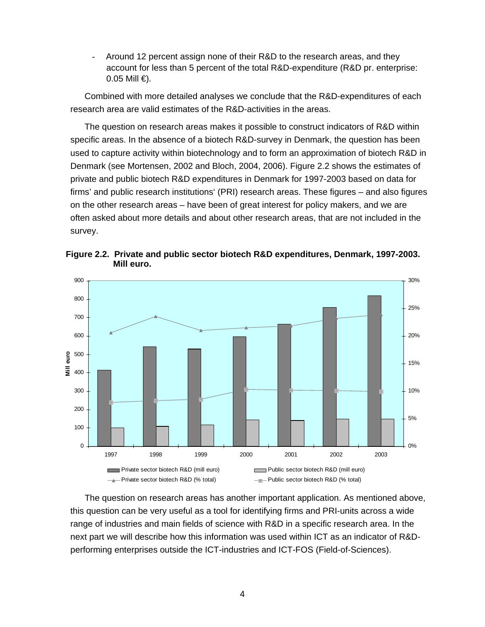Around 12 percent assign none of their R&D to the research areas, and they account for less than 5 percent of the total R&D-expenditure (R&D pr. enterprise:  $0.05$  Mill  $\epsilon$ ).

Combined with more detailed analyses we conclude that the R&D-expenditures of each research area are valid estimates of the R&D-activities in the areas.

The question on research areas makes it possible to construct indicators of R&D within specific areas. In the absence of a biotech R&D-survey in Denmark, the question has been used to capture activity within biotechnology and to form an approximation of biotech R&D in Denmark (see Mortensen, 2002 and Bloch, 2004, 2006). Figure 2.2 shows the estimates of private and public biotech R&D expenditures in Denmark for 1997-2003 based on data for firms' and public research institutions' (PRI) research areas. These figures – and also figures on the other research areas – have been of great interest for policy makers, and we are often asked about more details and about other research areas, that are not included in the survey.



**Figure 2.2. Private and public sector biotech R&D expenditures, Denmark, 1997-2003. Mill euro.** 

The question on research areas has another important application. As mentioned above, this question can be very useful as a tool for identifying firms and PRI-units across a wide range of industries and main fields of science with R&D in a specific research area. In the next part we will describe how this information was used within ICT as an indicator of R&Dperforming enterprises outside the ICT-industries and ICT-FOS (Field-of-Sciences).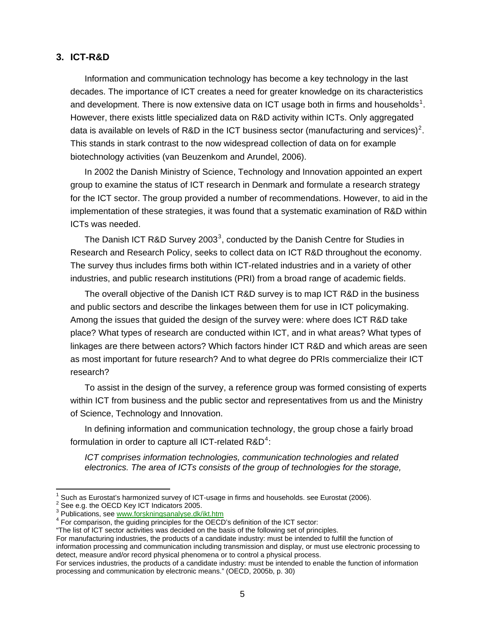## **3. ICT-R&D**

Information and communication technology has become a key technology in the last decades. The importance of ICT creates a need for greater knowledge on its characteristics and development. There is now extensive data on ICT usage both in firms and households<sup>[1](#page-5-0)</sup>. However, there exists little specialized data on R&D activity within ICTs. Only aggregated data is available on levels of R&D in the ICT business sector (manufacturing and services)<sup>[2](#page-5-1)</sup>. This stands in stark contrast to the now widespread collection of data on for example biotechnology activities (van Beuzenkom and Arundel, 2006).

In 2002 the Danish Ministry of Science, Technology and Innovation appointed an expert group to examine the status of ICT research in Denmark and formulate a research strategy for the ICT sector. The group provided a number of recommendations. However, to aid in the implementation of these strategies, it was found that a systematic examination of R&D within ICTs was needed.

The Danish ICT R&D Survey 200[3](#page-5-2)<sup>3</sup>, conducted by the Danish Centre for Studies in Research and Research Policy, seeks to collect data on ICT R&D throughout the economy. The survey thus includes firms both within ICT-related industries and in a variety of other industries, and public research institutions (PRI) from a broad range of academic fields.

The overall objective of the Danish ICT R&D survey is to map ICT R&D in the business and public sectors and describe the linkages between them for use in ICT policymaking. Among the issues that guided the design of the survey were: where does ICT R&D take place? What types of research are conducted within ICT, and in what areas? What types of linkages are there between actors? Which factors hinder ICT R&D and which areas are seen as most important for future research? And to what degree do PRIs commercialize their ICT research?

To assist in the design of the survey, a reference group was formed consisting of experts within ICT from business and the public sector and representatives from us and the Ministry of Science, Technology and Innovation.

In defining information and communication technology, the group chose a fairly broad formulation in order to capture all ICT-related  $\textsf{R}\texttt{dD}^4$  $\textsf{R}\texttt{dD}^4$ :

*ICT comprises information technologies, communication technologies and related electronics. The area of ICTs consists of the group of technologies for the storage,* 

 $\overline{1}$ 

<sup>1</sup> Such as Eurostat's harmonized survey of ICT-usage in firms and households. see Eurostat (2006). 2

<span id="page-5-1"></span><span id="page-5-0"></span><sup>&</sup>lt;sup>2</sup> See e.g. the OECD Key ICT Indicators 2005.

<sup>&</sup>lt;sup>3</sup> Publications, see [www.forskningsanalyse.dk/ikt.htm](http://www.forskningsanalyse.dk/ikt.htm)<br><sup>4</sup> Eer comparison, the quiding principles for the OECE

<span id="page-5-3"></span><span id="page-5-2"></span><sup>&</sup>lt;sup>4</sup> For comparison, the guiding principles for the OECD's definition of the ICT sector:

<sup>&</sup>quot;The list of ICT sector activities was decided on the basis of the following set of principles.

For manufacturing industries, the products of a candidate industry: must be intended to fulfill the function of information processing and communication including transmission and display, or must use electronic processing to detect, measure and/or record physical phenomena or to control a physical process.

For services industries, the products of a candidate industry: must be intended to enable the function of information processing and communication by electronic means." (OECD, 2005b, p. 30)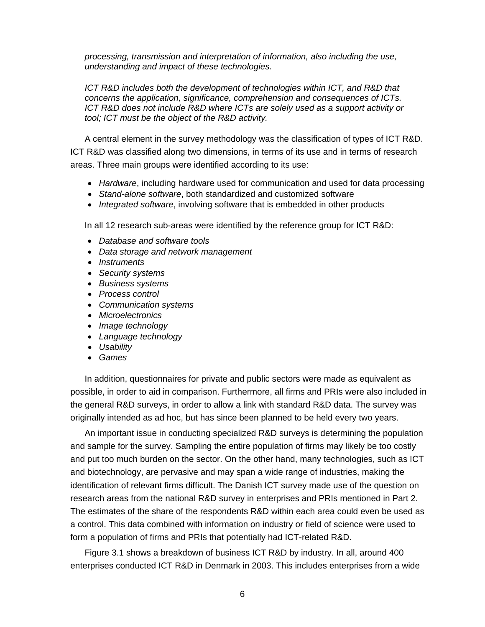*processing, transmission and interpretation of information, also including the use, understanding and impact of these technologies.* 

*ICT R&D includes both the development of technologies within ICT, and R&D that concerns the application, significance, comprehension and consequences of ICTs. ICT R&D does not include R&D where ICTs are solely used as a support activity or tool; ICT must be the object of the R&D activity.*

A central element in the survey methodology was the classification of types of ICT R&D. ICT R&D was classified along two dimensions, in terms of its use and in terms of research areas. Three main groups were identified according to its use:

- *Hardware*, including hardware used for communication and used for data processing
- *Stand-alone software*, both standardized and customized software
- *Integrated software*, involving software that is embedded in other products

In all 12 research sub-areas were identified by the reference group for ICT R&D:

- *Database and software tools*
- *Data storage and network management*
- *Instruments*
- *Security systems*
- *Business systems*
- *Process control*
- *Communication systems*
- *Microelectronics*
- *Image technology*
- *Language technology*
- *Usability*
- *Games*

In addition, questionnaires for private and public sectors were made as equivalent as possible, in order to aid in comparison. Furthermore, all firms and PRIs were also included in the general R&D surveys, in order to allow a link with standard R&D data. The survey was originally intended as ad hoc, but has since been planned to be held every two years.

An important issue in conducting specialized R&D surveys is determining the population and sample for the survey. Sampling the entire population of firms may likely be too costly and put too much burden on the sector. On the other hand, many technologies, such as ICT and biotechnology, are pervasive and may span a wide range of industries, making the identification of relevant firms difficult. The Danish ICT survey made use of the question on research areas from the national R&D survey in enterprises and PRIs mentioned in Part 2. The estimates of the share of the respondents R&D within each area could even be used as a control. This data combined with information on industry or field of science were used to form a population of firms and PRIs that potentially had ICT-related R&D.

Figure 3.1 shows a breakdown of business ICT R&D by industry. In all, around 400 enterprises conducted ICT R&D in Denmark in 2003. This includes enterprises from a wide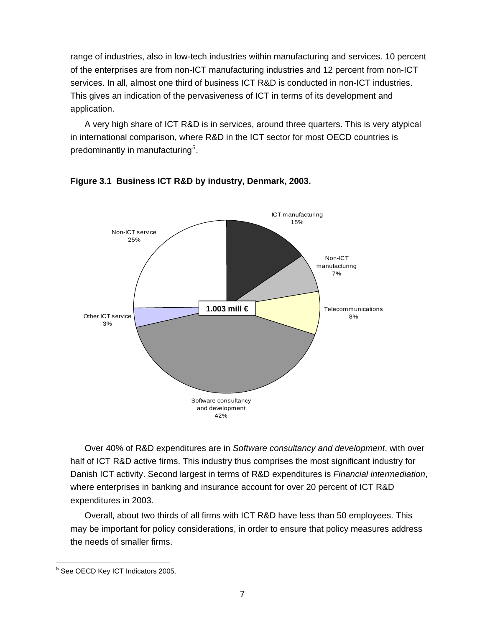range of industries, also in low-tech industries within manufacturing and services. 10 percent of the enterprises are from non-ICT manufacturing industries and 12 percent from non-ICT services. In all, almost one third of business ICT R&D is conducted in non-ICT industries. This gives an indication of the pervasiveness of ICT in terms of its development and application.

A very high share of ICT R&D is in services, around three quarters. This is very atypical in international comparison, where R&D in the ICT sector for most OECD countries is predominantly in manufacturing<sup>[5](#page-7-0)</sup>.





Over 40% of R&D expenditures are in *Software consultancy and development*, with over half of ICT R&D active firms. This industry thus comprises the most significant industry for Danish ICT activity. Second largest in terms of R&D expenditures is *Financial intermediation*, where enterprises in banking and insurance account for over 20 percent of ICT R&D expenditures in 2003.

Overall, about two thirds of all firms with ICT R&D have less than 50 employees. This may be important for policy considerations, in order to ensure that policy measures address the needs of smaller firms.

<span id="page-7-0"></span> 5 See OECD Key ICT Indicators 2005.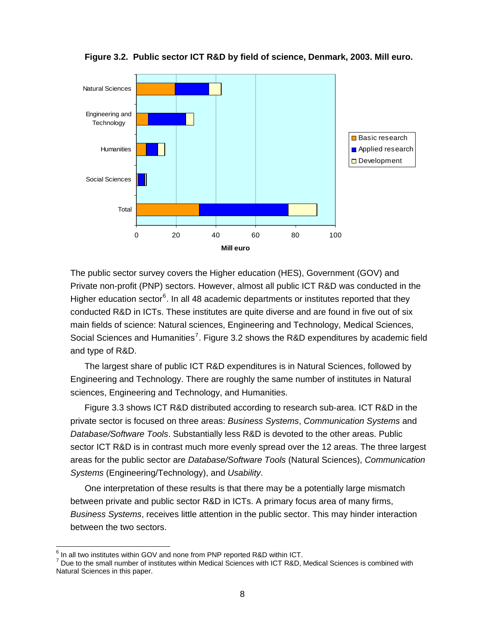

**Figure 3.2. Public sector ICT R&D by field of science, Denmark, 2003. Mill euro.** 

The public sector survey covers the Higher education (HES), Government (GOV) and Private non-profit (PNP) sectors. However, almost all public ICT R&D was conducted in the Higher education sector<sup>[6](#page-8-0)</sup>. In all 48 academic departments or institutes reported that they conducted R&D in ICTs. These institutes are quite diverse and are found in five out of six main fields of science: Natural sciences, Engineering and Technology, Medical Sciences, Social Sciences and Humanities<sup>[7](#page-8-1)</sup>. Figure 3.2 shows the R&D expenditures by academic field and type of R&D.

The largest share of public ICT R&D expenditures is in Natural Sciences, followed by Engineering and Technology. There are roughly the same number of institutes in Natural sciences, Engineering and Technology, and Humanities.

Figure 3.3 shows ICT R&D distributed according to research sub-area. ICT R&D in the private sector is focused on three areas: *Business Systems*, *Communication Systems* and *Database/Software Tools*. Substantially less R&D is devoted to the other areas. Public sector ICT R&D is in contrast much more evenly spread over the 12 areas. The three largest areas for the public sector are *Database/Software Tools* (Natural Sciences), *Communication Systems* (Engineering/Technology), and *Usability*.

One interpretation of these results is that there may be a potentially large mismatch between private and public sector R&D in ICTs. A primary focus area of many firms, *Business Systems*, receives little attention in the public sector. This may hinder interaction between the two sectors.

 6 In all two institutes within GOV and none from PNP reported R&D within ICT.

<span id="page-8-1"></span><span id="page-8-0"></span> $^7$  Due to the small number of institutes within Medical Sciences with ICT R&D, Medical Sciences is combined with Natural Sciences in this paper.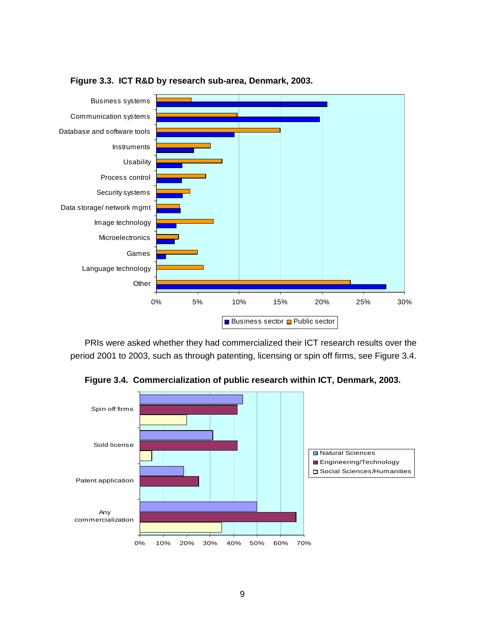

**Figure 3.3. ICT R&D by research sub-area, Denmark, 2003.** 

PRIs were asked whether they had commercialized their ICT research results over the period 2001 to 2003, such as through patenting, licensing or spin off firms, see Figure 3.4.

**Figure 3.4. Commercialization of public research within ICT, Denmark, 2003.** 

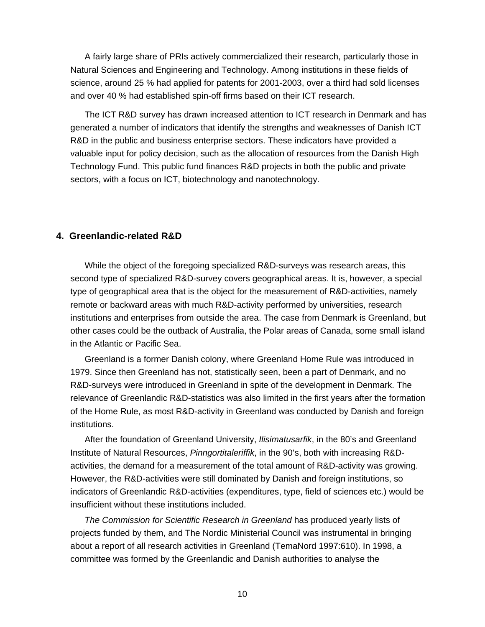A fairly large share of PRIs actively commercialized their research, particularly those in Natural Sciences and Engineering and Technology. Among institutions in these fields of science, around 25 % had applied for patents for 2001-2003, over a third had sold licenses and over 40 % had established spin-off firms based on their ICT research.

The ICT R&D survey has drawn increased attention to ICT research in Denmark and has generated a number of indicators that identify the strengths and weaknesses of Danish ICT R&D in the public and business enterprise sectors. These indicators have provided a valuable input for policy decision, such as the allocation of resources from the Danish High Technology Fund. This public fund finances R&D projects in both the public and private sectors, with a focus on ICT, biotechnology and nanotechnology.

## **4. Greenlandic-related R&D**

While the object of the foregoing specialized R&D-surveys was research areas, this second type of specialized R&D-survey covers geographical areas. It is, however, a special type of geographical area that is the object for the measurement of R&D-activities, namely remote or backward areas with much R&D-activity performed by universities, research institutions and enterprises from outside the area. The case from Denmark is Greenland, but other cases could be the outback of Australia, the Polar areas of Canada, some small island in the Atlantic or Pacific Sea.

Greenland is a former Danish colony, where Greenland Home Rule was introduced in 1979. Since then Greenland has not, statistically seen, been a part of Denmark, and no R&D-surveys were introduced in Greenland in spite of the development in Denmark. The relevance of Greenlandic R&D-statistics was also limited in the first years after the formation of the Home Rule, as most R&D-activity in Greenland was conducted by Danish and foreign institutions.

After the foundation of Greenland University, *Ilisimatusarfik*, in the 80's and Greenland Institute of Natural Resources, *Pinngortitaleriffik*, in the 90's, both with increasing R&Dactivities, the demand for a measurement of the total amount of R&D-activity was growing. However, the R&D-activities were still dominated by Danish and foreign institutions, so indicators of Greenlandic R&D-activities (expenditures, type, field of sciences etc.) would be insufficient without these institutions included.

*The Commission for Scientific Research in Greenland* has produced yearly lists of projects funded by them, and The Nordic Ministerial Council was instrumental in bringing about a report of all research activities in Greenland (TemaNord 1997:610). In 1998, a committee was formed by the Greenlandic and Danish authorities to analyse the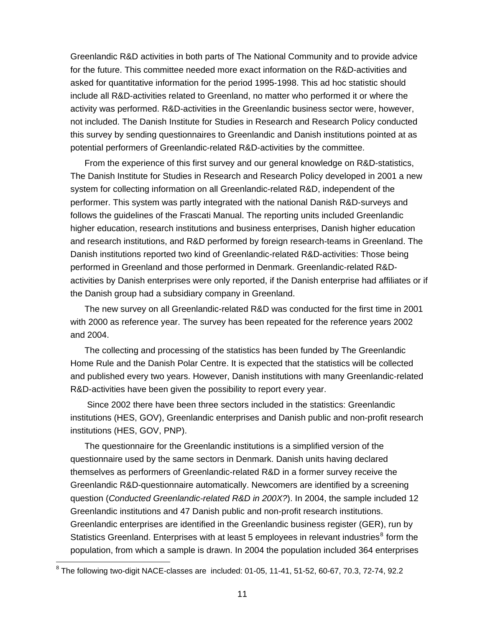Greenlandic R&D activities in both parts of The National Community and to provide advice for the future. This committee needed more exact information on the R&D-activities and asked for quantitative information for the period 1995-1998. This ad hoc statistic should include all R&D-activities related to Greenland, no matter who performed it or where the activity was performed. R&D-activities in the Greenlandic business sector were, however, not included. The Danish Institute for Studies in Research and Research Policy conducted this survey by sending questionnaires to Greenlandic and Danish institutions pointed at as potential performers of Greenlandic-related R&D-activities by the committee.

From the experience of this first survey and our general knowledge on R&D-statistics, The Danish Institute for Studies in Research and Research Policy developed in 2001 a new system for collecting information on all Greenlandic-related R&D, independent of the performer. This system was partly integrated with the national Danish R&D-surveys and follows the guidelines of the Frascati Manual. The reporting units included Greenlandic higher education, research institutions and business enterprises, Danish higher education and research institutions, and R&D performed by foreign research-teams in Greenland. The Danish institutions reported two kind of Greenlandic-related R&D-activities: Those being performed in Greenland and those performed in Denmark. Greenlandic-related R&Dactivities by Danish enterprises were only reported, if the Danish enterprise had affiliates or if the Danish group had a subsidiary company in Greenland.

The new survey on all Greenlandic-related R&D was conducted for the first time in 2001 with 2000 as reference year. The survey has been repeated for the reference years 2002 and 2004.

The collecting and processing of the statistics has been funded by The Greenlandic Home Rule and the Danish Polar Centre. It is expected that the statistics will be collected and published every two years. However, Danish institutions with many Greenlandic-related R&D-activities have been given the possibility to report every year.

 Since 2002 there have been three sectors included in the statistics: Greenlandic institutions (HES, GOV), Greenlandic enterprises and Danish public and non-profit research institutions (HES, GOV, PNP).

The questionnaire for the Greenlandic institutions is a simplified version of the questionnaire used by the same sectors in Denmark. Danish units having declared themselves as performers of Greenlandic-related R&D in a former survey receive the Greenlandic R&D-questionnaire automatically. Newcomers are identified by a screening question (*Conducted Greenlandic-related R&D in 200X?*). In 2004, the sample included 12 Greenlandic institutions and 47 Danish public and non-profit research institutions. Greenlandic enterprises are identified in the Greenlandic business register (GER), run by Statistics Greenland. Enterprises with at least 5 employees in relevant industries<sup>[8](#page-11-0)</sup> form the population, from which a sample is drawn. In 2004 the population included 364 enterprises

<span id="page-11-0"></span> 8 The following two-digit NACE-classes are included: 01-05, 11-41, 51-52, 60-67, 70.3, 72-74, 92.2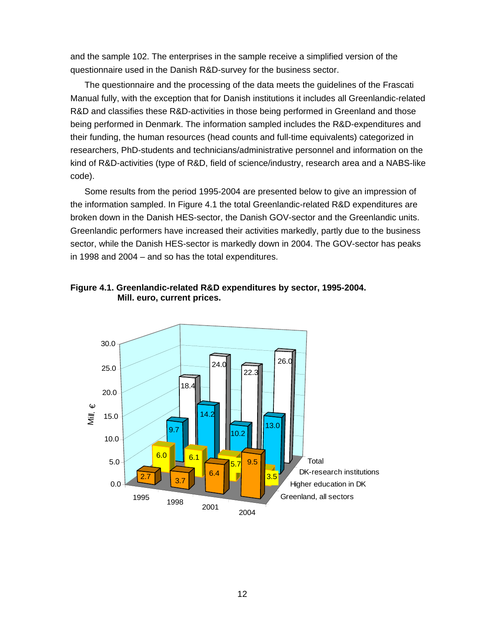and the sample 102. The enterprises in the sample receive a simplified version of the questionnaire used in the Danish R&D-survey for the business sector.

The questionnaire and the processing of the data meets the guidelines of the Frascati Manual fully, with the exception that for Danish institutions it includes all Greenlandic-related R&D and classifies these R&D-activities in those being performed in Greenland and those being performed in Denmark. The information sampled includes the R&D-expenditures and their funding, the human resources (head counts and full-time equivalents) categorized in researchers, PhD-students and technicians/administrative personnel and information on the kind of R&D-activities (type of R&D, field of science/industry, research area and a NABS-like code).

Some results from the period 1995-2004 are presented below to give an impression of the information sampled. In Figure 4.1 the total Greenlandic-related R&D expenditures are broken down in the Danish HES-sector, the Danish GOV-sector and the Greenlandic units. Greenlandic performers have increased their activities markedly, partly due to the business sector, while the Danish HES-sector is markedly down in 2004. The GOV-sector has peaks in 1998 and 2004 – and so has the total expenditures.



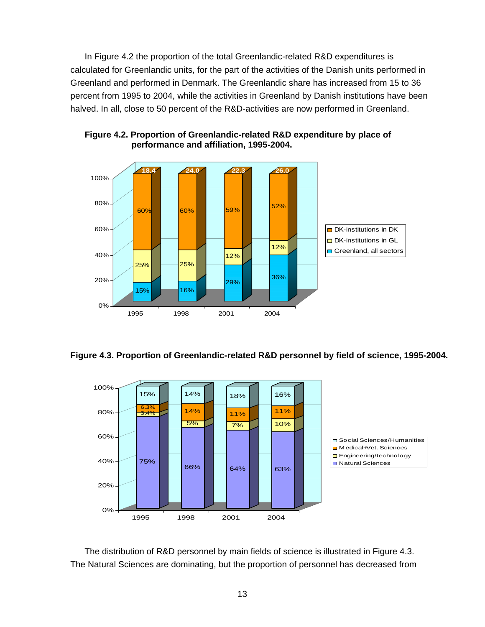In Figure 4.2 the proportion of the total Greenlandic-related R&D expenditures is calculated for Greenlandic units, for the part of the activities of the Danish units performed in Greenland and performed in Denmark. The Greenlandic share has increased from 15 to 36 percent from 1995 to 2004, while the activities in Greenland by Danish institutions have been halved. In all, close to 50 percent of the R&D-activities are now performed in Greenland.



**Figure 4.2. Proportion of Greenlandic-related R&D expenditure by place of performance and affiliation, 1995-2004.** 





The distribution of R&D personnel by main fields of science is illustrated in Figure 4.3. The Natural Sciences are dominating, but the proportion of personnel has decreased from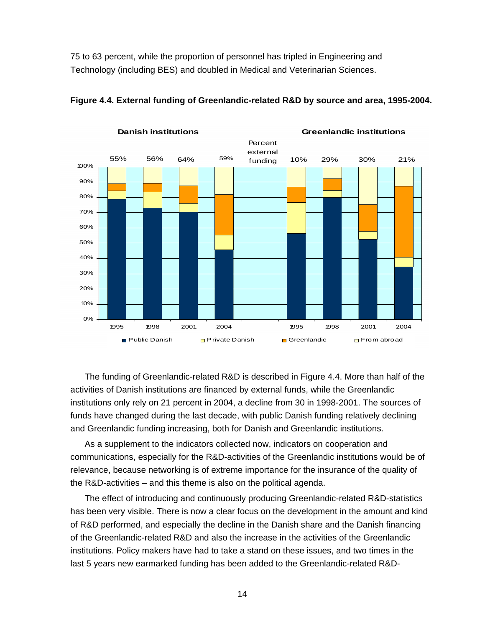75 to 63 percent, while the proportion of personnel has tripled in Engineering and Technology (including BES) and doubled in Medical and Veterinarian Sciences.



**Figure 4.4. External funding of Greenlandic-related R&D by source and area, 1995-2004.** 

The funding of Greenlandic-related R&D is described in Figure 4.4. More than half of the activities of Danish institutions are financed by external funds, while the Greenlandic institutions only rely on 21 percent in 2004, a decline from 30 in 1998-2001. The sources of funds have changed during the last decade, with public Danish funding relatively declining and Greenlandic funding increasing, both for Danish and Greenlandic institutions.

As a supplement to the indicators collected now, indicators on cooperation and communications, especially for the R&D-activities of the Greenlandic institutions would be of relevance, because networking is of extreme importance for the insurance of the quality of the R&D-activities – and this theme is also on the political agenda.

The effect of introducing and continuously producing Greenlandic-related R&D-statistics has been very visible. There is now a clear focus on the development in the amount and kind of R&D performed, and especially the decline in the Danish share and the Danish financing of the Greenlandic-related R&D and also the increase in the activities of the Greenlandic institutions. Policy makers have had to take a stand on these issues, and two times in the last 5 years new earmarked funding has been added to the Greenlandic-related R&D-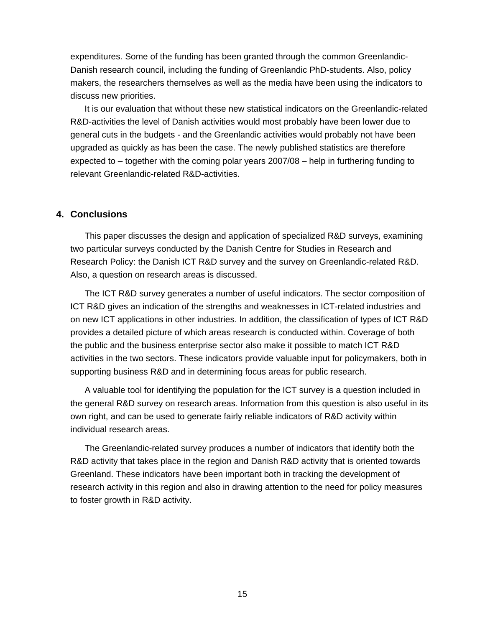expenditures. Some of the funding has been granted through the common Greenlandic-Danish research council, including the funding of Greenlandic PhD-students. Also, policy makers, the researchers themselves as well as the media have been using the indicators to discuss new priorities.

It is our evaluation that without these new statistical indicators on the Greenlandic-related R&D-activities the level of Danish activities would most probably have been lower due to general cuts in the budgets - and the Greenlandic activities would probably not have been upgraded as quickly as has been the case. The newly published statistics are therefore expected to – together with the coming polar years 2007/08 – help in furthering funding to relevant Greenlandic-related R&D-activities.

## **4. Conclusions**

This paper discusses the design and application of specialized R&D surveys, examining two particular surveys conducted by the Danish Centre for Studies in Research and Research Policy: the Danish ICT R&D survey and the survey on Greenlandic-related R&D. Also, a question on research areas is discussed.

The ICT R&D survey generates a number of useful indicators. The sector composition of ICT R&D gives an indication of the strengths and weaknesses in ICT-related industries and on new ICT applications in other industries. In addition, the classification of types of ICT R&D provides a detailed picture of which areas research is conducted within. Coverage of both the public and the business enterprise sector also make it possible to match ICT R&D activities in the two sectors. These indicators provide valuable input for policymakers, both in supporting business R&D and in determining focus areas for public research.

A valuable tool for identifying the population for the ICT survey is a question included in the general R&D survey on research areas. Information from this question is also useful in its own right, and can be used to generate fairly reliable indicators of R&D activity within individual research areas.

The Greenlandic-related survey produces a number of indicators that identify both the R&D activity that takes place in the region and Danish R&D activity that is oriented towards Greenland. These indicators have been important both in tracking the development of research activity in this region and also in drawing attention to the need for policy measures to foster growth in R&D activity.